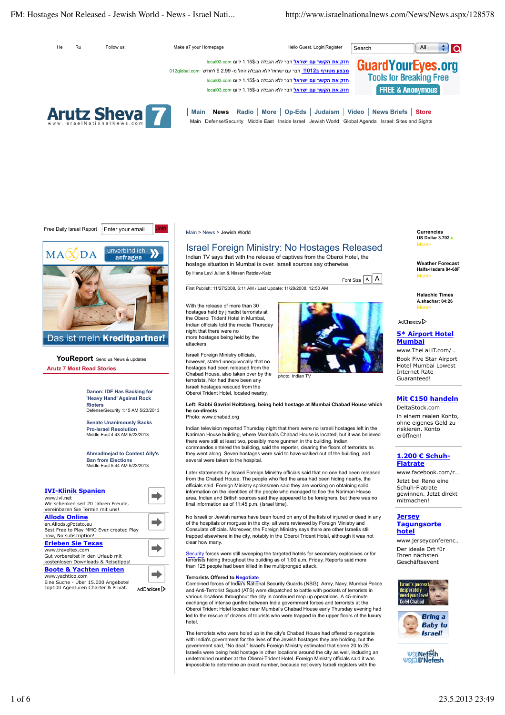# FM: Hostages Not Released - Jewish World - News - Israel Nati... http://www.israelnationalnews.com/News/News.aspx/128578







YouReport Send us News & updates **Arutz 7 Most Read Stories**

> **Danon: IDF Has Backing for 'Heavy Hand' Against Rock Rioters** Defense/Security 1:15 AM 5/23/2013

**Senate Unanimously Backs Pro-Israel Resolution** Middle East 4:43 AM 5/23/2013

**Ahmadinejad to Contest Ally's Ban from Elections** Middle East 5:44 AM 5/23/2013

| <b>IVI-Klinik Spanien</b><br>www.ivi.net<br>Wir schenken seit 20 Jahren Freude.                                  |           |
|------------------------------------------------------------------------------------------------------------------|-----------|
| Vereinbaren Sie Termin mit uns!                                                                                  |           |
| <b>Allods Online</b><br>en.Allods.gPotato.eu<br>Best Free to Play MMO Ever created Play<br>now, No subscription! |           |
| <b>Erleben Sie Texas</b>                                                                                         |           |
| www.traveltex.com<br>Gut vorbereitet in den Urlaub mit<br>kostenlosen Downloads & Reisetipps!                    |           |
| <b>Boote &amp; Yachten mieten</b>                                                                                |           |
| www.yachtico.com<br>Eine Suche - Über 15.000 Angebote!<br>Top100 Agenturen Charter & Privat.                     | AdChoices |

Main > News > Jewish World

# Israel Foreign Ministry: No Hostages Released

Indian TV says that with the release of captives from the Oberoi Hotel, the hostage situation in Mumbai is over. Israeli sources say otherwise.

By Hana Levi Julian & Nissan Ratzlav-Katz

First Publish: 11/27/2008, 6:11 AM / Last Update: 11/28/2008, 12:50 AM

With the release of more than 30 hostages held by jihadist terrorists at the Oberoi Trident Hotel in Mumbai, Indian officials told the media Thursday night that there were no more hostages being held by the attackers.

Israeli Foreign Ministry officials, however, stated unequivocally that no hostages had been released from the Chabad House, also taken over by the terrorists. Nor had there been any Israeli hostages rescued from the Oberoi Trident Hotel, located nearby.



Font Size  $\boxed{A}$  A

photo: Indian TV

**Left: Rabbi Gavriel Holtzberg, being held hostage at Mumbai Chabad House which he co-directs**

Photo: www.chabad.org

Indian television reported Thursday night that there were no Israeli hostages left in the Nariman House building, where Mumbai's Chabad House is located, but it was believed there were still at least two, possibly more gunmen in the building. Indian commandos entered the building, said the reporter, clearing the floors of terrorists as they went along. Seven hostages were said to have walked out of the building, and several were taken to the hospital.

Later statements by Israeli Foreign Ministry officials said that no one had been released from the Chabad House. The people who fled the area had been hiding nearby, the officials said. Foreign Ministry spokesmen said they are working on obtaining solid information on the identities of the people who managed to flee the Nariman House area. Indian and British sources said they appeared to be foreigners, but there was no final information as of 11:45 p.m. (Israel time).

No Israeli or Jewish names have been found on any of the lists of injured or dead in any of the hospitals or morgues in the city; all were reviewed by Foreign Ministry and Consulate officials. Moreover, the Foreign Ministry says there are other Israelis still trapped elsewhere in the city, notably in the Oberoi Trident Hotel, although it was not clear how many.

Security forces were still sweeping the targeted hotels for secondary explosives or for terrorists hiding throughout the building as of 1:00 a.m. Friday. Reports said more than 125 people had been killed in the multipronged attack.

**Terrorists Offered to Negotiate** Combined forces of India's National Security Guards (NSG), Army, Navy, Mumbai Police and Anti-Terrorist Squad (ATS) were dispatched to battle with pockets of terrorists in various locations throughout the city in continued mop up operations. A 45-minute exchange of intense gunfire between India government forces and terrorists at the Oberoi Trident Hotel located near Mumbai's Chabad House early Thursday evening had led to the rescue of dozens of tourists who were trapped in the upper floors of the luxury hotel.

The terrorists who were holed up in the city's Chabad House had offered to negotiate with India's government for the lives of the Jewish hostages they are holding, but the government said, "No deal." Israel's Foreign Ministry estimated that some 20 to 25 Israelis were being held hostage in other locations around the city as well, including an undetrmined number at the Oberoi-Trident Hotel. Foreign Ministry officials said it was impossible to determine an exact number, because not every Israeli registers with the

**Currencies US Dollar 3.702▲** More>

**Weather Forecast Haifa-Hadera 84-68F** More>

**Halachic Times A.shachar: 04:26** More>

AdChoices D

# **5\* Airport Hotel Mumbai**

www.TheLaLiT.com/ … Book Five Star Airport Hotel Mumbai Lowest Internet Rate Guaranteed!

# **Mit €150 handeln**

DeltaStock.com in einem realen Konto, ohne eigenes Geld zu riskieren. Konto eröffnen!

# **1.200 € Schuh-Flatrate**

www.facebook.com/r … Jetzt bei Reno eine Schuh-Flatrate gewinnen. Jetzt direkt mitmachen!

## **Jersey Tagungsorte hotel**

www.jerseyconferenc … Der ideale Ort für Ihren nächsten Geschäftsevent





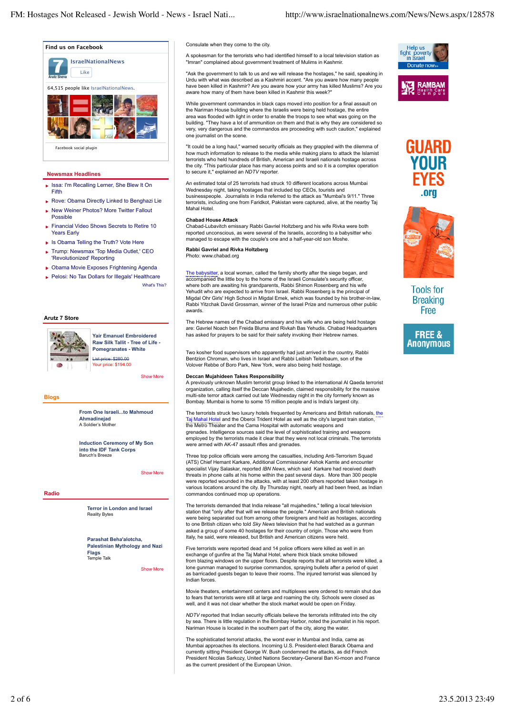**Find us on Facebook**



### **Newsmax Headlines**

- Issa: I'm Recalling Lerner, She Blew It On Fifth
- Rove: Obama Directly Linked to Benghazi Lie
- ▶ New Weiner Photos? More Twitter Fallout Possible
- Financial Video Shows Secrets to Retire 10 Years Early
- ▶ Is Obama Telling the Truth? Vote Here
- Trump: Newsmax 'Top Media Outlet,' CEO 'Revolutionized' Reporting
- Obama Movie Exposes Frightening Agenda
- **Pelosi: No Tax Dollars for Illegals' Healthcare** What's This?

#### **Arutz 7 Store**



**Yair Emanuel Embroidered Raw Silk Tallit - Tree of Life - Pomegranates - White** List price: \$280.00 Your price: \$194.00

Show More

#### **Blogs**

**From One Israeli...to Mahmoud Ahmadinejad** A Soldier's Mother

**Induction Ceremony of My Son into the IDF Tank Corps** Baruch's Breeze

Show More

#### **Radio**

**Terror in London and Israel**  Reality Bytes

**Parashat Beha'alotcha, Palestinian Mythology and Nazi Flags**  Temple Talk

Show More

#### Consulate when they come to the city.

A spokesman for the terrorists who had identified himself to a local television station as "Imran" complained about government treatment of Mulims in Kashmir.

"Ask the government to talk to us and we will release the hostages," he said, speaking in Urdu with what was described as a Kashmiri accent. "Are you aware how many people have been killed in Kashmir? Are you aware how your army has killed Muslims? Are you aware how many of them have been killed in Kashmir this week?"

While government commandos in black caps moved into position for a final assault on the Nariman House building where the Israelis were being held hostage, the entire area was flooded with light in order to enable the troops to see what was going on the building. "They have a lot of ammunition on them and that is why they are considered so very, very dangerous and the commandos are proceeding with such caution," explained one journalist on the scene.

"It could be a long haul," warned security officials as they grappled with the dilemma of how much information to release to the media while making plans to attack the Islamist terrorists who held hundreds of British, American and Israeli nationals hostage across the city. "This particular place has many access points and so it is a complex operation to secure it," explained an *NDTV* reporter.

An estimated total of 25 terrorists had struck 10 different locations across Mumbai Wednesday night, taking hostages that included top CEOs, tourists and businesspeople. Journalists in India referred to the attack as "Mumbai's 9/11." Three terrorists, including one from Faridkot, Pakistan were captured, alive, at the nearby Taj Mahal Hotel.

#### **Chabad House Attack**

Chabad-Lubavitch emissary Rabbi Gavriel Holtzberg and his wife Rivka were both reported unconscious, as were several of the Israelis, according to a babysitter who managed to escape with the couple's one and a half-year-old son Moshe.

#### **Rabbi Gavriel and Rivka Holtzberg** Photo: www.chabad.org

The babysitter, a local woman, called the family shortly after the siege began, and accompanied the little boy to the home of the Israeli Consulate's security officer, where both are awaiting his grandparents, Rabbi Shimon Rosenberg and his wife Yehudit who are expected to arrive from Israel. Rabbi Rosenberg is the principal of Migdal Ohr Girls' High School in Migdal Emek, which was founded by his brother-in-law, Rabbi Yitzchak David Grossman, winner of the Israel Prize and numerous other public awards.

The Hebrew names of the Chabad emissary and his wife who are being held hostage are: Gavriel Noach ben Freida Bluma and Rivkah Bas Yehudis. Chabad Headquarters has asked for prayers to be said for their safety invoking their Hebrew names.

Two kosher food supervisors who apparently had just arrived in the country, Rabbi Bentzion Chroman, who lives in Israel and Rabbi Leibish Teitelbaum, son of the Volover Rebbe of Boro Park, New York, were also being held hostage.

# **Deccan Mujahideen Takes Responsibility**

A previously unknown Muslim terrorist group linked to the international Al Qaeda terrorist organization, calling itself the Deccan Mujahedin, claimed responsibility for the massive multi-site terror attack carried out late Wednesday night in the city formerly known as Bombay. Mumbai is home to some 15 million people and is India's largest city.

The terrorists struck two luxury hotels frequented by Americans and British nationals, the Taj Mahal Hotel and the Oberoi Trident Hotel as well as the city's largest train station, the Metro Theater and the Cama Hospital with automatic weapons and grenades. Intelligence sources said the level of sophisticated training and weapons employed by the terrorists made it clear that they were not local criminals. The terrorists were armed with AK-47 assault rifles and grenades.

Three top police officials were among the casualties, including Anti-Terrorism Squad (ATS) Chief Hemant Karkare, Additional Commissioner Ashok Kamte and encounter specialist Vijay Salaskar, reported *IBN News*, which said Karkare had received death threats in phone calls at his home within the past several days. More than 300 people were reported wounded in the attacks, with at least 200 others reported taken hostage in various locations around the city. By Thursday night, nearly all had been freed, as Indian commandos continued mop up operations.

The terrorists demanded that India release "all mujahedins," telling a local television station that "only after that will we release the people." American and British nationals were being separated out from among other foreigners and held as hostages, according to one British citizen who told *Sky News* television that he had watched as a gunman asked a group of some 40 hostages for their country of origin. Those who were from Italy, he said, were released, but British and American citizens were held.

Five terrorists were reported dead and 14 police officers were killed as well in an exchange of gunfire at the Taj Mahal Hotel, where thick black smoke billowed from blazing windows on the upper floors. Despite reports that all terrorists were killed, a lone gunman managed to surprise commandos, spraying bullets after a period of quiet as barricaded guests began to leave their rooms. The injured terrorist was silenced by Indian forces.

Movie theaters, entertainment centers and multiplexes were ordered to remain shut due to fears that terrorists were still at large and roaming the city. Schools were closed as well, and it was not clear whether the stock market would be open on Friday

*NDTV* reported that Indian security officials believe the terrorists infiltrated into the city by sea. There is little regulation in the Bombay Harbor, noted the journalist in his report. Nariman House is located in the southern part of the city, along the water.

The sophisticated terrorist attacks, the worst ever in Mumbai and India, came as Mumbai approaches its elections. Incoming U.S. President-elect Barack Obama and currently sitting President George W. Bush condemned the attacks, as did French President Nicolas Sarkozy, United Nations Secretary-General Ban Ki-moon and France as the current president of the European Union.







**Tools for Breaking** Free

**FREE &** Anonvmous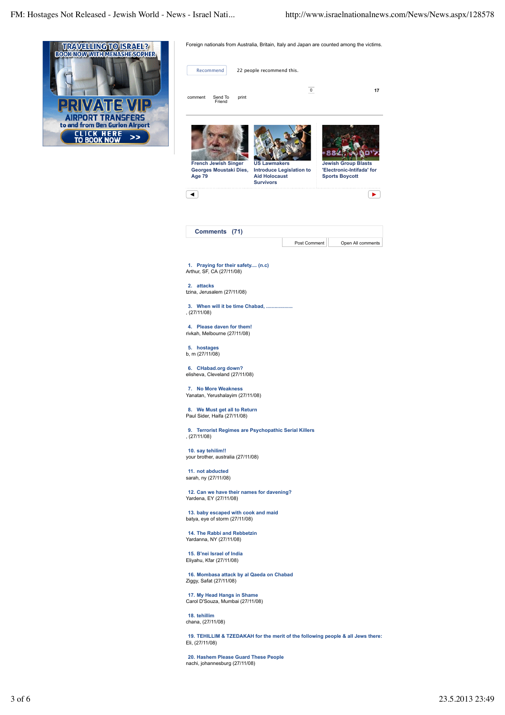

| Recommend                                                      |                                                       |       | 22 people recommend this.                                       |                                                                                 |                                                                                  |    |
|----------------------------------------------------------------|-------------------------------------------------------|-------|-----------------------------------------------------------------|---------------------------------------------------------------------------------|----------------------------------------------------------------------------------|----|
| comment                                                        | Send To<br>Friend                                     | print |                                                                 | $\mathbf 0$                                                                     |                                                                                  | 17 |
| Age 79                                                         | <b>French Jewish Singer</b><br>Georges Moustaki Dies, |       | <b>US Lawmakers</b><br><b>Aid Holocaust</b><br><b>Survivors</b> | <b>Introduce Legislation to</b>                                                 | <b>Jewish Group Blasts</b><br>'Electronic-Intifada' for<br><b>Sports Boycott</b> |    |
|                                                                |                                                       |       |                                                                 |                                                                                 |                                                                                  | ▶  |
|                                                                | <b>Comments</b>                                       | (71)  |                                                                 |                                                                                 |                                                                                  |    |
|                                                                |                                                       |       |                                                                 | Post Comment                                                                    | Open All comments                                                                |    |
| 1. Praying for their safety (n.c)<br>Arthur, SF, CA (27/11/08) |                                                       |       |                                                                 |                                                                                 |                                                                                  |    |
| 2. attacks<br>tzina, Jerusalem (27/11/08)                      |                                                       |       |                                                                 |                                                                                 |                                                                                  |    |
| , (27/11/08)                                                   |                                                       |       | 3. When will it be time Chabad,                                 |                                                                                 |                                                                                  |    |
| 4. Please daven for them!<br>rivkah, Melbourne (27/11/08)      |                                                       |       |                                                                 |                                                                                 |                                                                                  |    |
| 5. hostages<br>b, m (27/11/08)                                 |                                                       |       |                                                                 |                                                                                 |                                                                                  |    |
| 6.<br>elisheva, Cleveland (27/11/08)                           | <b>CHabad.org down?</b>                               |       |                                                                 |                                                                                 |                                                                                  |    |
| 7.<br>Yanatan, Yerushalayim (27/11/08)                         | <b>No More Weakness</b>                               |       |                                                                 |                                                                                 |                                                                                  |    |
| 8. We Must get all to Return<br>Paul Sider, Haifa (27/11/08)   |                                                       |       |                                                                 |                                                                                 |                                                                                  |    |
| 9.<br>, (27/11/08)                                             |                                                       |       |                                                                 | <b>Terrorist Regimes are Psychopathic Serial Killers</b>                        |                                                                                  |    |
| 10. say tehilim!!<br>your brother, australia (27/11/08)        |                                                       |       |                                                                 |                                                                                 |                                                                                  |    |
| 11. not abducted<br>sarah, ny (27/11/08)                       |                                                       |       |                                                                 |                                                                                 |                                                                                  |    |
| Yardena, EY (27/11/08)                                         |                                                       |       | 12. Can we have their names for davening?                       |                                                                                 |                                                                                  |    |
| batya, eye of storm (27/11/08)                                 |                                                       |       | 13. baby escaped with cook and maid                             |                                                                                 |                                                                                  |    |
| 14. The Rabbi and Rebbetzin<br>Yardanna, NY (27/11/08)         |                                                       |       |                                                                 |                                                                                 |                                                                                  |    |
| 15. B'nei Israel of India<br>Eliyahu, Kfar (27/11/08)          |                                                       |       |                                                                 |                                                                                 |                                                                                  |    |
| Ziggy, Safat (27/11/08)                                        |                                                       |       | 16. Mombasa attack by al Qaeda on Chabad                        |                                                                                 |                                                                                  |    |
| 17. My Head Hangs in Shame<br>Carol D'Souza, Mumbai (27/11/08) |                                                       |       |                                                                 |                                                                                 |                                                                                  |    |
| 18. tehillim<br>chana, (27/11/08)                              |                                                       |       |                                                                 |                                                                                 |                                                                                  |    |
| Eli, (27/11/08)                                                |                                                       |       |                                                                 | 19. TEHILLIM & TZEDAKAH for the merit of the following people & all Jews there: |                                                                                  |    |
| nachi, johannesburg (27/11/08)                                 |                                                       |       | 20. Hashem Please Guard These People                            |                                                                                 |                                                                                  |    |

Foreign nationals from Australia, Britain, Italy and Japan are counted among the victims.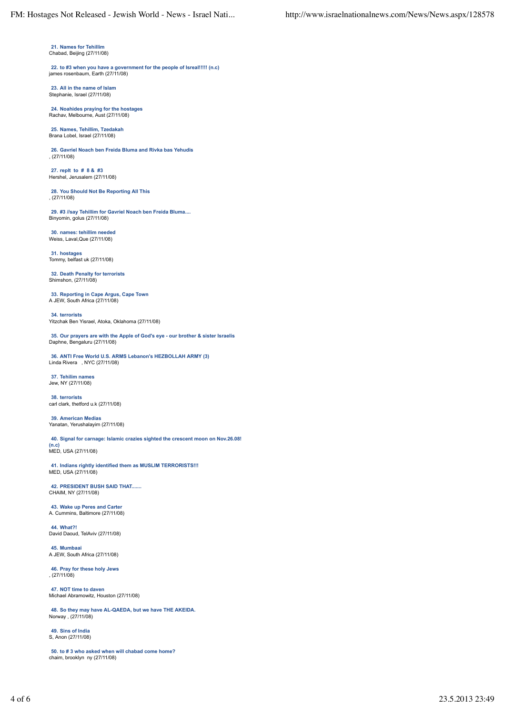**21. Names for Tehillim** Chabad, Beijing (27/11/08)

**22. to #3 when you have a government for the people of Isreal!!!!! (n.c)** james rosenbaum, Earth (27/11/08)

**23. All in the name of Islam** Stephanie, Israel (27/11/08)

**24. Noahides praying for the hostages** Rachav, Melbourne, Aust (27/11/08)

**25. Names, Tehillim, Tzedakah** Brana Lobel, Israel (27/11/08)

**26. Gavriel Noach ben Freida Bluma and Rivka bas Yehudis** , (27/11/08)

**27. replt to # 8 & #3** Hershel, Jerusalem (27/11/08)

**28. You Should Not Be Reporting All This** , (27/11/08)

**29. #3 //say Tehillim for Gavriel Noach ben Freida Bluma....** Binyomin, golus (27/11/08)

**30. names: tehillim needed** Weiss, Laval,Que (27/11/08)

**31. hostages** Tommy, belfast uk (27/11/08)

**32. Death Penalty for terrorists** Shimshon, (27/11/08)

**33. Reporting in Cape Argus, Cape Town** A JEW, South Africa (27/11/08)

**34. terrorists** Yitzchak Ben Yisrael, Atoka, Oklahoma (27/11/08)

**35. Our prayers are with the Apple of God's eye - our brother & sister Israelis** Daphne, Bengaluru (27/11/08)

**36. ANTI Free World U.S. ARMS Lebanon's HEZBOLLAH ARMY (3)** Linda Rivera , NYC (27/11/08)

**37. Tehilim names** Jew, NY (27/11/08)

**38. terrorists** carl clark, thetford u.k (27/11/08)

**39. American Medias** Yanatan, Yerushalayim (27/11/08)

**40. Signal for carnage: Islamic crazies sighted the crescent moon on Nov.26.08!**

**(n.c)** MED, USA (27/11/08)

**41. Indians rightly identified them as MUSLIM TERRORISTS!!!** MED, USA (27/11/08)

**42. PRESIDENT BUSH SAID THAT.......** CHAIM, NY (27/11/08)

**43. Wake up Peres and Carter** A. Cummins, Baltimore (27/11/08)

**44. What?!** David Daoud, TelAviv (27/11/08)

**45. Mumbaai** A JEW, South Africa (27/11/08)

**46. Pray for these holy Jews** , (27/11/08)

**47. NOT time to daven** Michael Abramowitz, Houston (27/11/08)

**48. So they may have AL-QAEDA, but we have THE AKEIDA.** Norway , (27/11/08)

**49. Sins of India** S, Anon (27/11/08)

**50. to # 3 who asked when will chabad come home?** chaim, brooklyn ny (27/11/08)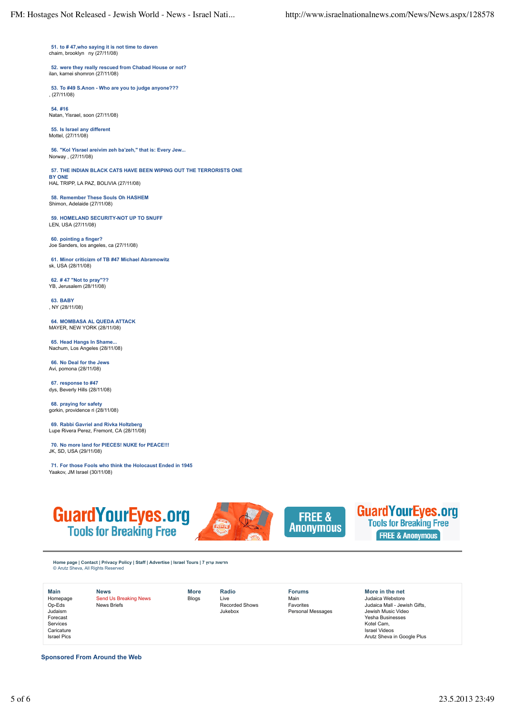**51. to # 47,who saying it is not time to daven** chaim, brooklyn ny (27/11/08)

**52. were they really rescued from Chabad House or not?** ilan, karnei shomron (27/11/08)

**53. To #49 S.Anon - Who are you to judge anyone???** , (27/11/08)

**54. #16** Natan, Yisrael, soon (27/11/08)

**55. Is Israel any different** Mottel, (27/11/08)

**56. "Kol Yisrael areivim zeh ba'zeh," that is: Every Jew...** Norway , (27/11/08)

**57. THE INDIAN BLACK CATS HAVE BEEN WIPING OUT THE TERRORISTS ONE BY ONE**

HAL TRIPP, LA PAZ, BOLIVIA (27/11/08)

**58. Remember These Souls Oh HASHEM** Shimon, Adelaide (27/11/08)

**59. HOMELAND SECURITY-NOT UP TO SNUFF** LEN, USA (27/11/08)

**60. pointing a finger?** Joe Sanders, los angeles, ca (27/11/08)

**61. Minor criticizm of TB #47 Michael Abramowitz** sk, USA (28/11/08)

**62. # 47 "Not to pray"??** YB, Jerusalem (28/11/08)

**63. BABY** , NY (28/11/08)

**64. MOMBASA AL QUEDA ATTACK** MAYER, NEW YORK (28/11/08)

**65. Head Hangs In Shame...** Nachum, Los Angeles (28/11/08)

**66. No Deal for the Jews** Avi, pomona (28/11/08)

**67. response to #47** dys, Beverly Hills (28/11/08)

**68. praying for safety** gorkin, providence ri (28/11/08)

**69. Rabbi Gavriel and Rivka Holtzberg** Lupe Rivera Perez, Fremont, CA (28/11/08)

**70. No more land for PIECES! NUKE for PEACE!!!** JK, SD, USA (29/11/08)

**71. For those Fools who think the Holocaust Ended in 1945** Yaakov, JM Israel (30/11/08)







**GuardYourEyes.org Tools for Breaking Free FREE & Anonymous** 

**Home page | Contact | Privacy Policy | Staff | Advertise | Israel Tours | 7 ערוץ חדשות** © Arutz Sheva, All Rights Reserved

| Main               |
|--------------------|
| Homepage           |
| Op-Eds             |
| Judaism            |
| Forecast           |
| Services           |
| Caricature         |
| <b>Israel Pics</b> |
|                    |

**News** Send Us Breaking News News Briefs

**Radio** Live Recorded Shows Jukebox

**More** Blogs

**Forums** Main Favorites Personal Messages **More in the net** Judaica Webstore Judaica Mall - Jewish Gifts, Jewish Music Video Yesha Businesses Kotel Cam, Israel Videos Arutz Sheva in Google Plus

**Sponsored From Around the Web**